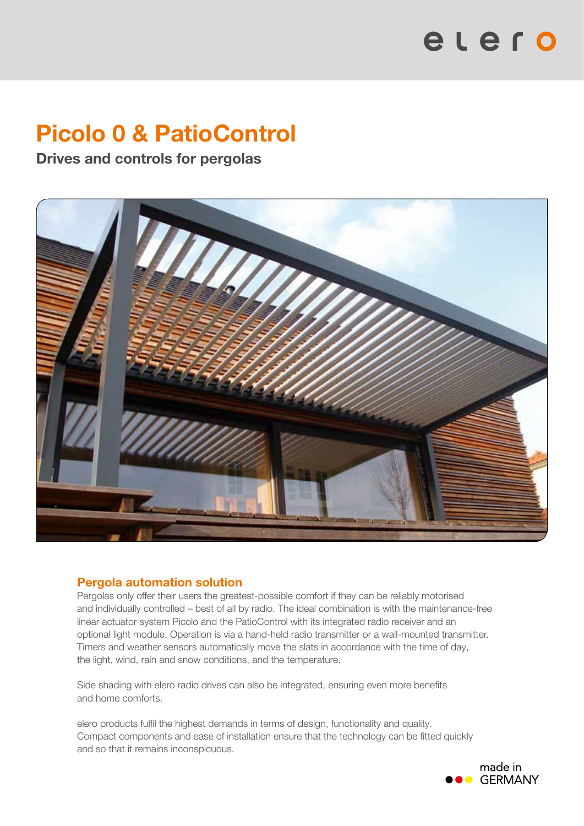# elero

# Picolo 0 & PatioControl

Drives and controls for pergolas



# Pergola automation solution

Pergolas only offer their users the greatest-possible comfort if they can be reliably motorised and individually controlled – best of all by radio. The ideal combination is with the maintenance-free linear actuator system Picolo and the PatioControl with its integrated radio receiver and an optional light module. Operation is via a hand-held radio transmitter or a wall-mounted transmitter. Timers and weather sensors automatically move the slats in accordance with the time of day, the light, wind, rain and snow conditions, and the temperature.

Side shading with elero radio drives can also be integrated, ensuring even more benefits and home comforts.

elero products fulfil the highest demands in terms of design, functionality and quality. Compact components and ease of installation ensure that the technology can be fitted quickly and so that it remains inconspicuous.

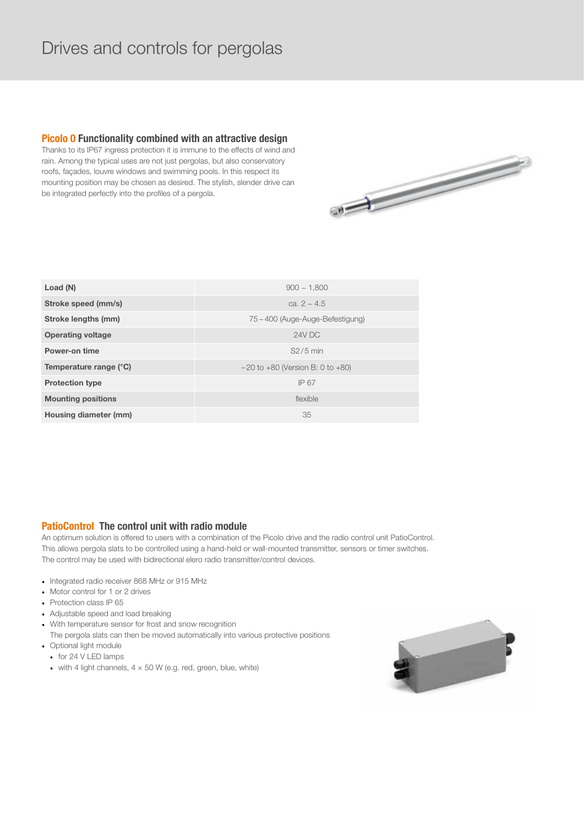# Drives and controls for pergolas

# **Picolo 0 Functionality combined with an attractive design**

Thanks to its IP67 ingress protection it is immune to the effects of wind and rain. Among the typical uses are not just pergolas, but also conservatory roofs, façades, louvre windows and swimming pools. In this respect its mounting position may be chosen as desired. The stylish, slender drive can be integrated perfectly into the profiles of a pergola.



| Load (N)                  | $900 - 1.800$                           |
|---------------------------|-----------------------------------------|
| Stroke speed (mm/s)       | ca. $2 - 4.5$                           |
| Stroke lengths (mm)       | 75 – 400 (Auge-Auge-Befestigung)        |
| <b>Operating voltage</b>  | 24V DC                                  |
| <b>Power-on time</b>      | $S2/5$ min                              |
| Temperature range (°C)    | $-20$ to $+80$ (Version B: 0 to $+80$ ) |
| <b>Protection type</b>    | IP 67                                   |
| <b>Mounting positions</b> | flexible                                |
| Housing diameter (mm)     | 35                                      |

# **PatioControl The control unit with radio module**

An optimum solution is offered to users with a combination of the Picolo drive and the radio control unit PatioControl. This allows pergola slats to be controlled using a hand-held or wall-mounted transmitter, sensors or timer switches. The control may be used with bidirectional elero radio transmitter/control devices.

- Integrated radio receiver 868 MHz or 915 MHz
- Motor control for 1 or 2 drives
- Protection class IP 65
- Adjustable speed and load breaking
- With temperature sensor for frost and snow recognition
- The pergola slats can then be moved automatically into various protective positions
- Optional light module
	- for 24 V LED lamps
	- with 4 light channels,  $4 \times 50$  W (e.g. red, green, blue, white)

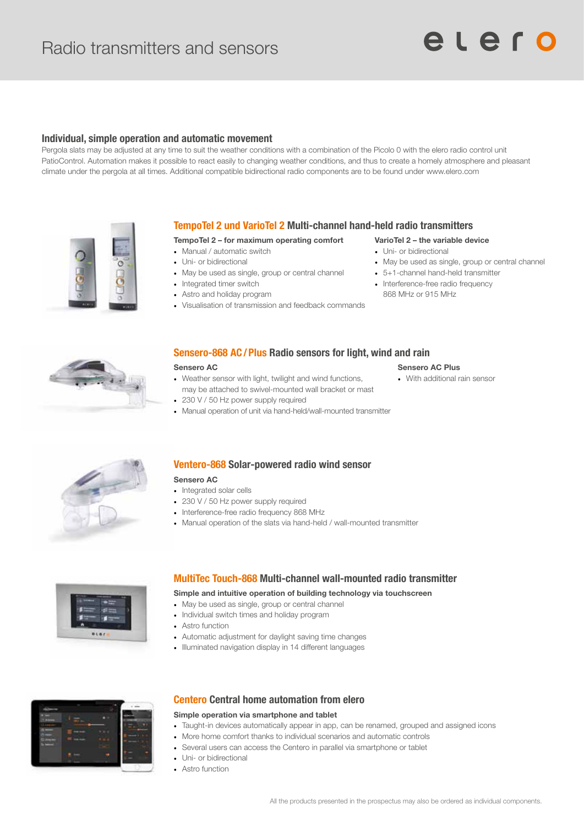# **Individual, simple operation and automatic movement**

Pergola slats may be adjusted at any time to suit the weather conditions with a combination of the Picolo 0 with the elero radio control unit PatioControl. Automation makes it possible to react easily to changing weather conditions, and thus to create a homely atmosphere and pleasant climate under the pergola at all times. Additional compatible bidirectional radio components are to be found under www.elero.com



# **TempoTel 2 und VarioTel 2 Multi�channel hand�held radio transmitters**

### TempoTel 2 – for maximum operating comfort

- Manual / automatic switch
- Uni- or bidirectional
- May be used as single, group or central channel
- Integrated timer switch
- Astro and holiday program
- Visualisation of transmission and feedback commands

# VarioTel 2 – the variable device

- Uni- or bidirectional
- May be used as single, group or central channel
- 5+1-channel hand-held transmitter
- Interference-free radio frequency 868 MHz or 915 MHz



# **Sensero-868 AC/Plus Radio sensors for light, wind and rain**

#### Sensero AC

- Weather sensor with light, twilight and wind functions, may be attached to swivel-mounted wall bracket or mast
- 230 V / 50 Hz power supply required
- Manual operation of unit via hand-held/wall-mounted transmitter

#### Sensero AC Plus

• With additional rain sensor



## **Ventero-868 Solar-powered radio wind sensor**

- Sensero AC • Integrated solar cells
- 230 V / 50 Hz power supply required
- 
- Interference-free radio frequency 868 MHz
- Manual operation of the slats via hand-held / wall-mounted transmitter



# **MultiTec Touch-868 Multi-channel wall-mounted radio transmitter**

#### Simple and intuitive operation of building technology via touchscreen

- May be used as single, group or central channel
- Individual switch times and holiday program
- Astro function
- Automatic adjustment for daylight saving time changes
- Illuminated navigation display in 14 different languages



# **Centero Central home automation from elero**

## Simple operation via smartphone and tablet

- Taught-in devices automatically appear in app, can be renamed, grouped and assigned icons
- More home comfort thanks to individual scenarios and automatic controls
- Several users can access the Centero in parallel via smartphone or tablet
- Uni- or bidirectional
- Astro function